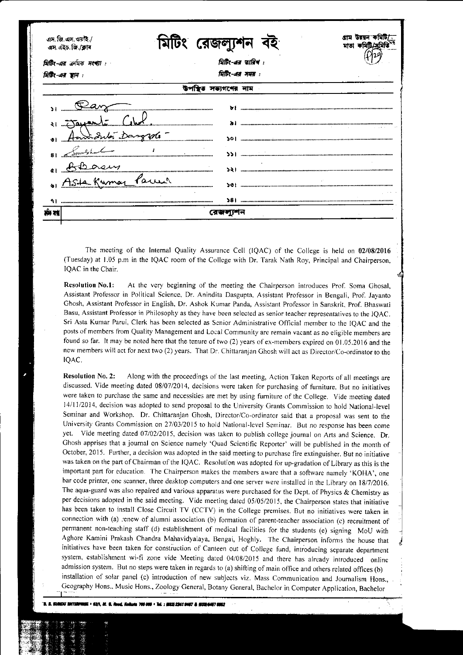| এস. জি. এস. ওয়াই./<br>এস এইচ জি /ক্লাব | রেজল                 |  |  |  |  |  |  |  |
|-----------------------------------------|----------------------|--|--|--|--|--|--|--|
| মিটিং-এর ক্রমিক সংখ্যা :                | त्रिটिर-अत्र फांतिच: |  |  |  |  |  |  |  |
| মিটিং-এর স্থান :                        | यिष्ठिर-अत्र मयप्त : |  |  |  |  |  |  |  |
| সভ্যগণের নাম                            |                      |  |  |  |  |  |  |  |
|                                         |                      |  |  |  |  |  |  |  |
|                                         |                      |  |  |  |  |  |  |  |
|                                         |                      |  |  |  |  |  |  |  |
|                                         |                      |  |  |  |  |  |  |  |
|                                         |                      |  |  |  |  |  |  |  |
| Kumar                                   | Parre                |  |  |  |  |  |  |  |
|                                         |                      |  |  |  |  |  |  |  |
|                                         |                      |  |  |  |  |  |  |  |

The meeting of the Internal Quality Assurance Cell (IQAC) of the College is held on 02/08/2016 (Tuesday) at 1.05 p.m in the IQAC room of the College with Dr. Tarak Nath Roy, Principal and Chairperson, IQAC in the Chair.

Resolution No.l: At the very beginning of the meeting the Chairperson introduces Prof. Soma Ghosal, Assistant Professor in Political Science. Dr. Anindita Dasgupta. Assistant Prof'essor in Bengali, Prof. Jayanto Ghosh, Assistant Professor in English, Dr. Ashok Kumar Panda, Assistant Professor in Sanskrit, Prof. Bhaswati Basu, Assistant Professor in Philosophy as they have been selected as senior teacher represenratives to the IQAC. Sri Asta Kumar Parui, Clerk has been selected as Senior Administrative Official member to the IQAC and the posts of members from Quality Management and Local Community are remain vacant as no eligible members are found so far. It may be noted here that the tenure of two (2) years of ex-members expired on 01.05.2016 and the new members willact for next two (2) years. That Dr. Chittaranjan Chosh willact as Director/Co-ordinator to the IQAC.

Resolution No. 2: Along with the proceedings of the last meeting, Action Taken Reports of all meetings are discussed. Vide meeting dated 08/07/2014, decisions were taken for purchasing of furniture. But no initiatives were taken to purchase the same and necessities are met by using furniture of the College. Vide meeting dated l4/11/2014, decision was adopted to send proposal to the University Grants Commission to hold National-level Seminar and workshop. Dr. Chittaranjan Ghosh, Director/Co-ordinator said that a proposal was senr to the University Grants Commission on 27/03/2015 to hold National-level Seminar. But no response has been come yet. Vide meeting dated 07/02/2015, decision was taken to publish college journal on Arts and Science. Dr. Ghosh apprises that a journal on Science namely 'Quad Scientific Reporter' will be published in the month of Oclober, 2015. Further, a decision was adopted in the said meeting to purchase fire extinguisher. But no initiative was taken on the part of Chairman of the IQAC. Resolution was adopted for up-gradation of Library as this is the important part for education. The Chairperson makes the members aware that a software namely 'KOHA', one bar code printer, one scanner, three desktop computers and one server were installed in the Library on l8/7/2016. The aqua-guard was also repaired and various apparatus were purchased for the Dept. of Physics & Chemistry as per decisions adopted in the said meeting. Vide meeting dated 05/05/2015, the Chairperson states that initiative has been taken to install Close Circuit TV (CCTV) in the College premises. But no initiatives were taken in connection with (a) renew of alumni association (b) formation of parent-teacher association (c) recruitment of permanent non-teaching staff (d) establishment of medical facilities for the students (e) signing MoU with Aghore Kamini Prakash chandra Mahavidyalaya, Bengai, Hoghly. The chairperson informs the house that j initiatives have been taken for construction of Canteen out of College fund, introducing separate department system, establishment wi-fi zone vide Meeting dated 04/08/2015 and rhere has already inrroduced online admission system. But no steps were taken in regards to (a) shifting of main office and others related offices (b) installation of solar panel (c) introduction of new subjects viz. Mass Communication and Journalism Hons., Geography Hons., Music Hons., Zoology General, Botany General, Bachelor in Computer Application, Bachelor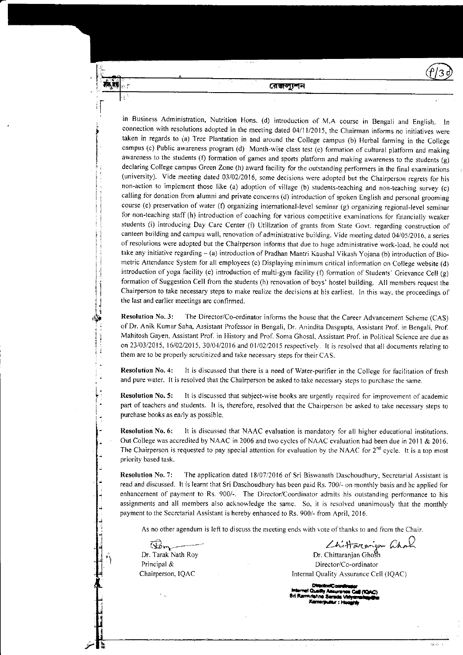**নেজল্যশন** 

in Business Administration, Nutrition Hons. (d) introduction of M.A course in Bengali and English. connection with resolutions adopted in the meeting dated 04/l l/2015, the Chairman informs no initiatives were taken in regards to (a) Tree Plantation in and around the College campus (b) Herbal farming in the College campus (c) Public awareness program (d) Month-wise class test (e) formation of cultural platform and making awareness to the students (f) formation of games and sports platform and making awareness to the students (g) declaring College campus Creen Zone (h) award facility for the ourstanding performers in the final examinations (university). Vide meeting dated 03/02/2016, some decisions were adopted but the Chairperson regrets for his non-action to implement those like (a) adoption of village (b) students-teaching and non-teaching survey (c) calling for donation from alumni and private concerns (d) introduction of spoken English and personal grooming course (e) preservation of water (f) organizing international-level seminar (g) organizing regional-level seminar for non-teaching staff (h) introduction of coaching for various competitive examinations for financially weaker students (i) introducing Day Care Center (i) Utilization of grants from Srare Govr. regarding construction of canteen building and campus wall, renovation of administrative building. Vide meeting dared 04/05/2016. a series of resolutions were adopted but the Chairperson informs that due to huge administrative work-load, he could not take any initiative regarding - (a) introduction of Pradhan Mantri Kaushal Vikash Yojana (b) introduction of Biometric Attendance System for all employees (c) Displaying minimum critical information on College website (d) introduction of yoga facility (e) introduction of multi-gym facility (f) formation of Students' Crievance Cell (g) formation of Suggestion Cell from the students (h) renovation of boys' hostel building. AII members request the Chairperson to take necessary steps to make realize the decisions at his earliest. In this way, the proceedings of the last and earlier meetings are confirmed.

Resolution No. 3: The Director/Co-ordinator informs the house that the Career Advancement Scheme (CAS) of Dr. Anik Kumar Saha, Assistant Professor in Bengali, Dr. Anindita Dasgupta, Assistant Prof. in Bengali, Prof. Mahitosh Gayen, Assistant Prof. in History and Prof. Soma Ghosal, Assistant Prof. in Political Science are due as on 23/03/2015, 16/02/2015, 30/04/2016 and 01/02/2015 respectively. It is resolved that all documents relating to them are to be properly scrutinized and take necessary steps for their CAS.

Resolution No. 4: lt is discussed that there is a need of Water-purifier in the College for facilitation of fresh and pure water. It is resolved that the Chairperson be asked to take necessary steps to purchase the same.

Resolution No. 5: It is discussed that subject-wise books are urgently required for improvement of academic part of teachers and students. It is, therefore, resolved that the Chairperson be asked to take necessary steps to purchase books as early as possible.

Resolution No,6: It is discussed that NAAC evaluation is mandatory for all higher educational institutions. Out College was accredited by NAAC in 2006 and two cycles of NAAC evaluation had been due in 2011 & 2016. The Chairperson is requested to pay special attention for evaluation by the NAAC for  $2^{nd}$  cycle. It is a top most priority based task.

Resolution No. 7: The application dated 18/07/2016 of Sri Biswanath Daschoudhury, Secretarial Assistant is read and discussed. It is learnt lhat Sri Daschoudhury has been paid Rs.700/- on monthly basis and he applied for enhancement of payment to Rs. 900/-. The Director/Coordinator admits his outstanding performance to his assignments and all members also acknowledge the same. So, it is resolved unanimously that the monthly payment to the Secretarial Assistant is hereby enhanced to Rs. 900/- from April, 2016.

As no other agendum is left to discuss the meeting ends with vote of thanks to and from the Chair.

(rd,1=- Dr. Tarak Nath Roy Principal & Chairperson, IQAC

Lhittararjan Chock

病毒。

Dr. Chittaranjan Ghosh Director/Co-ordinator Internal Quality Assurance Cell (IQAC)

Director/Coards -renderic conditions<br>- Internat Quality Assurance Call (IQA<br>Nd Renderic Samuel Libraries www.convey.consuming Cole<br>Bri Ramkrishne Sarada Vidyamahapi<br>-Kamerpultur : Hooghiy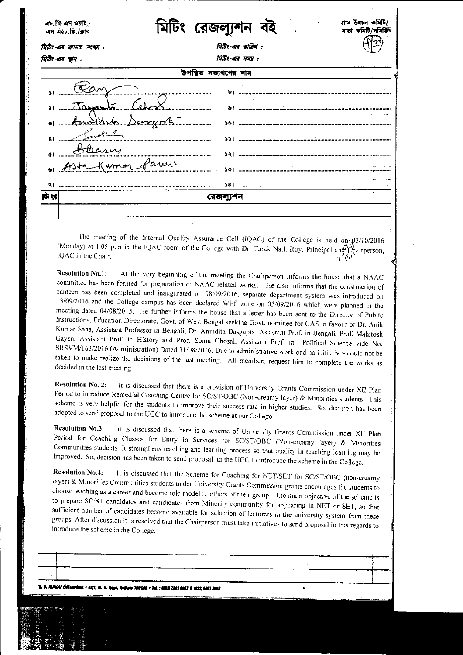|              | এস. জি. এস. ওয়াই./<br>এস. এইচ. জি./ক্লাব |             | রেজলা                                | মাতা কামটি/সামাও |
|--------------|-------------------------------------------|-------------|--------------------------------------|------------------|
|              | মিটিং-এর ক্রমিক সংখ্যা :                  |             | মিটিং-এর তারিখ:                      |                  |
|              | মিটিং-এর স্থান :                          |             | त्रिकि:-अत्र मयप्त :<br>সভ্যগণের নাম |                  |
|              |                                           |             |                                      |                  |
|              | Jaman                                     |             | <br>৯।                               |                  |
| $\bullet$    | m <del>)</del> Inda                       | $D$ engar s | 50 I                                 |                  |
| 81           | mash                                      |             | וגר                                  |                  |
| $\mathbf{d}$ | بمدم<br>Kuma                              | are         | 52                                   |                  |
|              |                                           |             | 301                                  |                  |
| मम रह        |                                           |             | ৱেজলাম                               |                  |
|              |                                           |             |                                      |                  |

The meeting of the Internal Quality Assurance Cell (IQAC) of the College is held on 03/10/2016 (Monday) at 1.05 p.m in the IQAC room of the College with Dr. Tarak Nath Roy, Principal and Chairperson, IQAC in the Chair.  $\mathcal{A}=\mathcal{A}^{\mathcal{A}}$ 

**Resolution No.1:** At the very beginning of the meeting the Chairperson informs the house that a NAAC committee has been formed for preparation of NAAC related works. He also informs that the construction of canteen has been completed and inaugurated on 08/09/2016, separate department system was introduced on 13/09/2016 and the College campus has been declared Wi-fi zone on 05/09/2016 which were planned in the meeting dated 04/08/2015. He further informs the house that a letter has been sent to the Director of Public Instructions, Education Directorate, Govt. of West Bengal seeking Govt. nominee for CAS in favour of Dr. Anik Kumar Saha, Assistant Professor in Bengali, Dr. Anindita Dasgupta, Assistant Prof. in Bengali, Prof. Mahitosh Gayen, Assistant Prof. in History and Prof. Soma Ghosal, Assistant Prof. in Political Science vide No. SRSVM/163/2016 (Administration) Dated 31/08/2016. Due to administrative workload no initiatives could not be taken to make realize the decisions of the last meeting. All members request him to complete the works as decided in the last meeting.

It is discussed that there is a provision of University Grants Commission under XII Plan **Resolution No. 2:** Period to introduce Remedial Coaching Centre for SC/ST/OBC (Non-creamy layer) & Minorities students. This scheme is very helpful for the students to improve their success rate in higher studies. So, decision has been adopted to send proposal to the UGC to introduce the scheme at our College.

It is discussed that there is a scheme of University Grants Commission under XII Plan **Resolution No.3:** Period for Coaching Classes for Entry in Services for SC/ST/OBC (Non-creamy layer) & Minorities Communities students. It strengthens teaching and learning process so that quality in teaching learning may be improved. So, decision has been taken to send proposal to the UGC to introduce the scheme in the College.

It is discussed that the Scheme for Coaching for NET/SET for SC/ST/OBC (non-creamy **Resolution No.4:** layer) & Minorities Communities students under University Grants Commission grants encourages the students to choose teaching as a career and become role model to others of their group. The main objective of the scheme is to prepare SC/ST candidates and candidates from Minority community for appearing in NET or SET, so that sufficient number of candidates become available for selection of lecturers in the university system from these groups. After discussion it is resolved that the Chairperson must take initiatives to send proposal in this regards to introduce the scheme in the College.